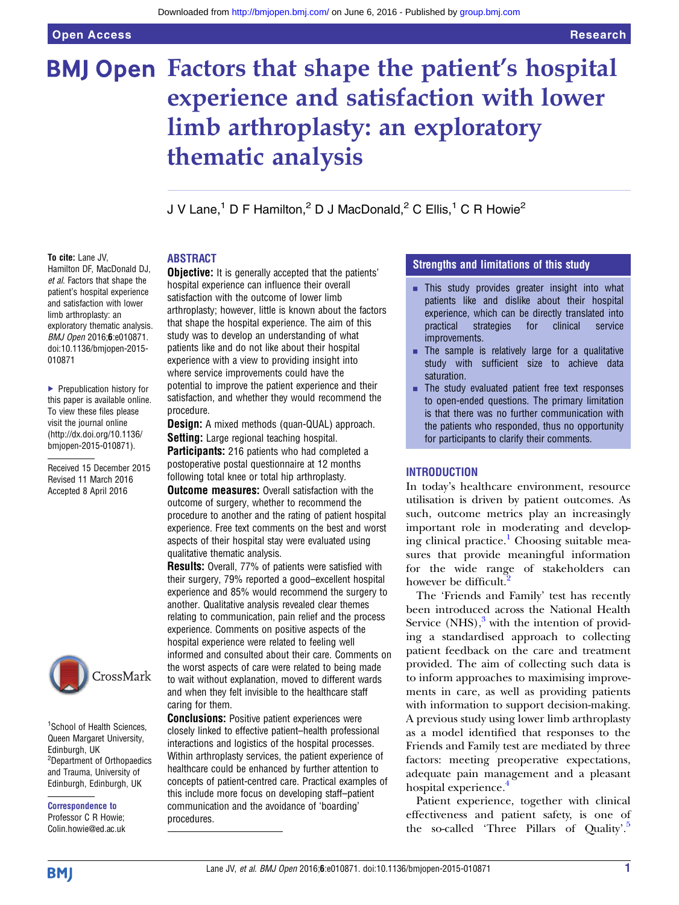# BMJ Open Factors that shape the patient's hospital experience and satisfaction with lower limb arthroplasty: an exploratory thematic analysis

J V Lane,<sup>1</sup> D F Hamilton,<sup>2</sup> D J MacDonald,<sup>2</sup> C Ellis,<sup>1</sup> C R Howie<sup>2</sup>

#### To cite: Lane JV,

Hamilton DF, MacDonald DJ, et al. Factors that shape the patient's hospital experience and satisfaction with lower limb arthroplasty: an exploratory thematic analysis. BMJ Open 2016;6:e010871. doi:10.1136/bmjopen-2015- 010871

▶ Prepublication history for this paper is available online. To view these files please visit the journal online [\(http://dx.doi.org/10.1136/](http://dx.doi.org/10.1136/bmjopen-2015-010871) [bmjopen-2015-010871](http://dx.doi.org/10.1136/bmjopen-2015-010871)).

Received 15 December 2015 Revised 11 March 2016 Accepted 8 April 2016



<sup>1</sup> School of Health Sciences, Queen Margaret University, Edinburgh, UK <sup>2</sup>Department of Orthopaedics and Trauma, University of Edinburgh, Edinburgh, UK

Correspondence to

Professor C R Howie; Colin.howie@ed.ac.uk ABSTRACT **Objective:** It is generally accepted that the patients'

hospital experience can influence their overall satisfaction with the outcome of lower limb arthroplasty; however, little is known about the factors that shape the hospital experience. The aim of this study was to develop an understanding of what patients like and do not like about their hospital experience with a view to providing insight into where service improvements could have the potential to improve the patient experience and their satisfaction, and whether they would recommend the procedure.

**Design:** A mixed methods (quan-QUAL) approach. **Setting:** Large regional teaching hospital.

**Participants:** 216 patients who had completed a postoperative postal questionnaire at 12 months following total knee or total hip arthroplasty. **Outcome measures:** Overall satisfaction with the outcome of surgery, whether to recommend the procedure to another and the rating of patient hospital experience. Free text comments on the best and worst aspects of their hospital stay were evaluated using qualitative thematic analysis.

**Results:** Overall, 77% of patients were satisfied with their surgery, 79% reported a good–excellent hospital experience and 85% would recommend the surgery to another. Qualitative analysis revealed clear themes relating to communication, pain relief and the process experience. Comments on positive aspects of the hospital experience were related to feeling well informed and consulted about their care. Comments on the worst aspects of care were related to being made to wait without explanation, moved to different wards and when they felt invisible to the healthcare staff caring for them.

**Conclusions:** Positive patient experiences were closely linked to effective patient–health professional interactions and logistics of the hospital processes. Within arthroplasty services, the patient experience of healthcare could be enhanced by further attention to concepts of patient-centred care. Practical examples of this include more focus on developing staff–patient communication and the avoidance of 'boarding' procedures.

## Strengths and limitations of this study

- $\blacksquare$  This study provides greater insight into what patients like and dislike about their hospital experience, which can be directly translated into practical strategies for clinical service improvements.
- $\blacksquare$  The sample is relatively large for a qualitative study with sufficient size to achieve data saturation.
- $\blacksquare$  The study evaluated patient free text responses to open-ended questions. The primary limitation is that there was no further communication with the patients who responded, thus no opportunity for participants to clarify their comments.

## **INTRODUCTION**

In today's healthcare environment, resource utilisation is driven by patient outcomes. As such, outcome metrics play an increasingly important role in moderating and develop-ing clinical practice.<sup>[1](#page-5-0)</sup> Choosing suitable measures that provide meaningful information for the wide range of stakeholders can however be difficult.<sup>[2](#page-5-0)</sup>

The 'Friends and Family' test has recently been introduced across the National Health Service  $(NHS),\frac{3}{7}$  with the intention of providing a standardised approach to collecting patient feedback on the care and treatment provided. The aim of collecting such data is to inform approaches to maximising improvements in care, as well as providing patients with information to support decision-making. A previous study using lower limb arthroplasty as a model identified that responses to the Friends and Family test are mediated by three factors: meeting preoperative expectations, adequate pain management and a pleasant hospital experience.<sup>4</sup>

Patient experience, together with clinical effectiveness and patient safety, is one of the so-called 'Three Pillars of Quality'.<sup>[5](#page-5-0)</sup>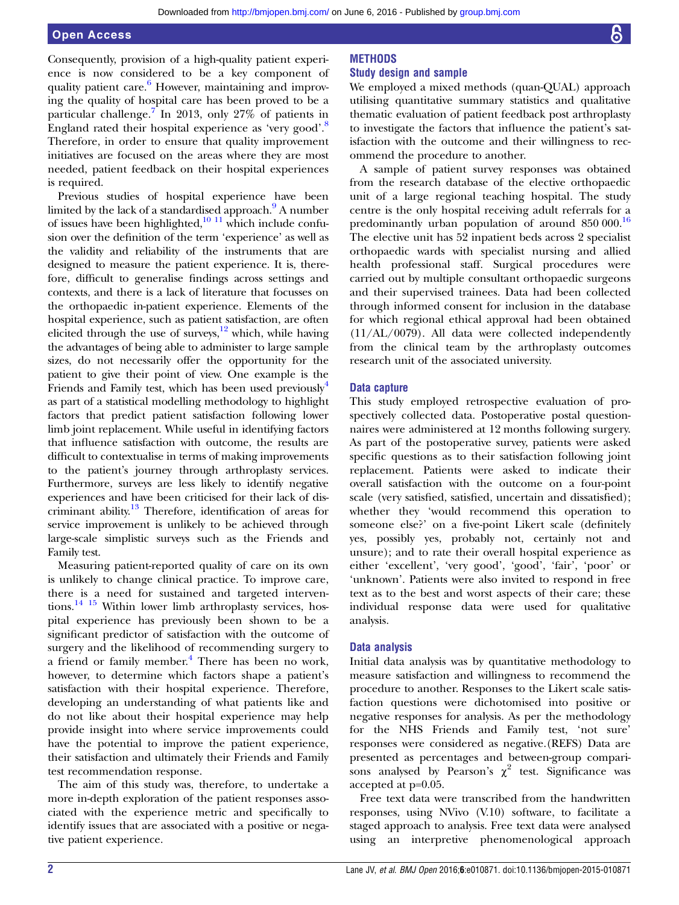Consequently, provision of a high-quality patient experience is now considered to be a key component of quality patient care. $6$  However, maintaining and improving the quality of hospital care has been proved to be a particular challenge.<sup>7</sup> In 2013, only 27% of patients in England rated their hospital experience as 'very good'.<sup>[8](#page-5-0)</sup> Therefore, in order to ensure that quality improvement initiatives are focused on the areas where they are most needed, patient feedback on their hospital experiences is required.

Previous studies of hospital experience have been limited by the lack of a standardised approach. $9A$  $9A$  number of issues have been highlighted, $\frac{10 \text{ h}}{11}$  which include confusion over the definition of the term 'experience' as well as the validity and reliability of the instruments that are designed to measure the patient experience. It is, therefore, difficult to generalise findings across settings and contexts, and there is a lack of literature that focusses on the orthopaedic in-patient experience. Elements of the hospital experience, such as patient satisfaction, are often elicited through the use of surveys, $12$  which, while having the advantages of being able to administer to large sample sizes, do not necessarily offer the opportunity for the patient to give their point of view. One example is the Friends and Family test, which has been used previously $4$ as part of a statistical modelling methodology to highlight factors that predict patient satisfaction following lower limb joint replacement. While useful in identifying factors that influence satisfaction with outcome, the results are difficult to contextualise in terms of making improvements to the patient's journey through arthroplasty services. Furthermore, surveys are less likely to identify negative experiences and have been criticised for their lack of discriminant ability. $13$  Therefore, identification of areas for service improvement is unlikely to be achieved through large-scale simplistic surveys such as the Friends and Family test.

Measuring patient-reported quality of care on its own is unlikely to change clinical practice. To improve care, there is a need for sustained and targeted interventions.<sup>14 15</sup> Within lower limb arthroplasty services, hospital experience has previously been shown to be a significant predictor of satisfaction with the outcome of surgery and the likelihood of recommending surgery to a friend or family member.<sup>4</sup> There has been no work, however, to determine which factors shape a patient's satisfaction with their hospital experience. Therefore, developing an understanding of what patients like and do not like about their hospital experience may help provide insight into where service improvements could have the potential to improve the patient experience, their satisfaction and ultimately their Friends and Family test recommendation response.

The aim of this study was, therefore, to undertake a more in-depth exploration of the patient responses associated with the experience metric and specifically to identify issues that are associated with a positive or negative patient experience.

## **METHODS**

## Study design and sample

We employed a mixed methods (quan-QUAL) approach utilising quantitative summary statistics and qualitative thematic evaluation of patient feedback post arthroplasty to investigate the factors that influence the patient's satisfaction with the outcome and their willingness to recommend the procedure to another.

A sample of patient survey responses was obtained from the research database of the elective orthopaedic unit of a large regional teaching hospital. The study centre is the only hospital receiving adult referrals for a predominantly urban population of around 850 000.<sup>[16](#page-6-0)</sup> The elective unit has 52 inpatient beds across 2 specialist orthopaedic wards with specialist nursing and allied health professional staff. Surgical procedures were carried out by multiple consultant orthopaedic surgeons and their supervised trainees. Data had been collected through informed consent for inclusion in the database for which regional ethical approval had been obtained (11/AL/0079). All data were collected independently from the clinical team by the arthroplasty outcomes research unit of the associated university.

## Data capture

This study employed retrospective evaluation of prospectively collected data. Postoperative postal questionnaires were administered at 12 months following surgery. As part of the postoperative survey, patients were asked specific questions as to their satisfaction following joint replacement. Patients were asked to indicate their overall satisfaction with the outcome on a four-point scale (very satisfied, satisfied, uncertain and dissatisfied); whether they 'would recommend this operation to someone else?' on a five-point Likert scale (definitely yes, possibly yes, probably not, certainly not and unsure); and to rate their overall hospital experience as either 'excellent', 'very good', 'good', 'fair', 'poor' or 'unknown'. Patients were also invited to respond in free text as to the best and worst aspects of their care; these individual response data were used for qualitative analysis.

## Data analysis

Initial data analysis was by quantitative methodology to measure satisfaction and willingness to recommend the procedure to another. Responses to the Likert scale satisfaction questions were dichotomised into positive or negative responses for analysis. As per the methodology for the NHS Friends and Family test, 'not sure' responses were considered as negative.(REFS) Data are presented as percentages and between-group comparisons analysed by Pearson's  $\chi^2$  test. Significance was accepted at p=0.05.

Free text data were transcribed from the handwritten responses, using NVivo (V.10) software, to facilitate a staged approach to analysis. Free text data were analysed using an interpretive phenomenological approach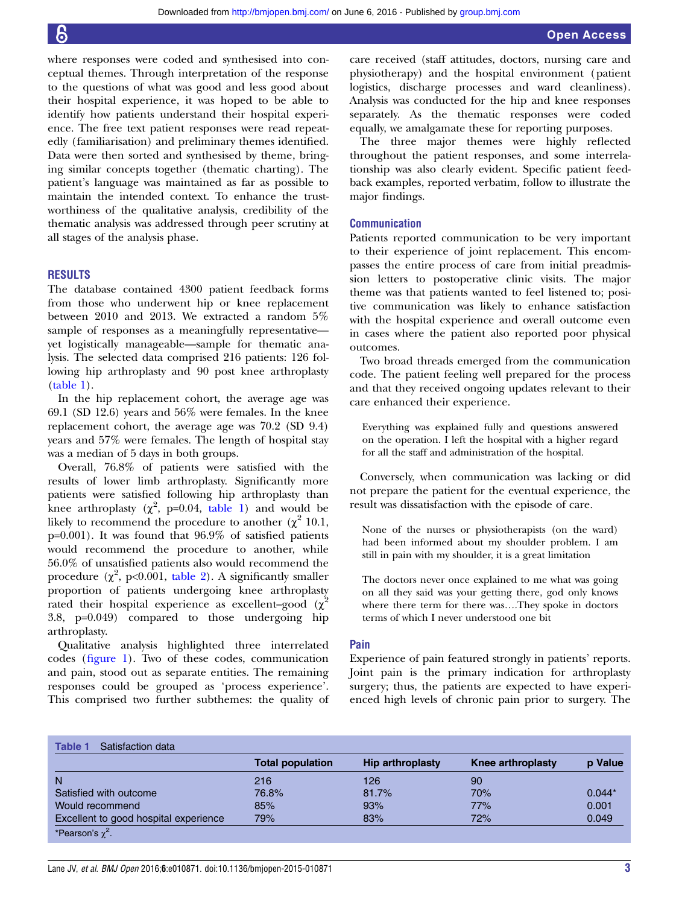where responses were coded and synthesised into conceptual themes. Through interpretation of the response to the questions of what was good and less good about their hospital experience, it was hoped to be able to identify how patients understand their hospital experience. The free text patient responses were read repeatedly (familiarisation) and preliminary themes identified. Data were then sorted and synthesised by theme, bringing similar concepts together (thematic charting). The patient's language was maintained as far as possible to maintain the intended context. To enhance the trustworthiness of the qualitative analysis, credibility of the thematic analysis was addressed through peer scrutiny at all stages of the analysis phase.

#### RESULTS

The database contained 4300 patient feedback forms from those who underwent hip or knee replacement between 2010 and 2013. We extracted a random 5% sample of responses as a meaningfully representative yet logistically manageable—sample for thematic analysis. The selected data comprised 216 patients: 126 following hip arthroplasty and 90 post knee arthroplasty (table 1).

In the hip replacement cohort, the average age was 69.1 (SD 12.6) years and 56% were females. In the knee replacement cohort, the average age was 70.2 (SD 9.4) years and 57% were females. The length of hospital stay was a median of 5 days in both groups.

Overall, 76.8% of patients were satisfied with the results of lower limb arthroplasty. Significantly more patients were satisfied following hip arthroplasty than knee arthroplasty  $(\chi^2, p=0.04,$  table 1) and would be likely to recommend the procedure to another  $(\chi^2 10.1,$ p=0.001). It was found that 96.9% of satisfied patients would recommend the procedure to another, while 56.0% of unsatisfied patients also would recommend the procedure  $(\chi^2$ , p<0.001, [table 2\)](#page-3-0). A significantly smaller proportion of patients undergoing knee arthroplasty rated their hospital experience as excellent–good  $(\chi^2)$ 3.8, p=0.049) compared to those undergoing hip arthroplasty.

Qualitative analysis highlighted three interrelated codes (fi[gure 1](#page-3-0)). Two of these codes, communication and pain, stood out as separate entities. The remaining responses could be grouped as 'process experience'. This comprised two further subthemes: the quality of

care received (staff attitudes, doctors, nursing care and physiotherapy) and the hospital environment (patient logistics, discharge processes and ward cleanliness). Analysis was conducted for the hip and knee responses separately. As the thematic responses were coded equally, we amalgamate these for reporting purposes.

The three major themes were highly reflected throughout the patient responses, and some interrelationship was also clearly evident. Specific patient feedback examples, reported verbatim, follow to illustrate the major findings.

#### Communication

Patients reported communication to be very important to their experience of joint replacement. This encompasses the entire process of care from initial preadmission letters to postoperative clinic visits. The major theme was that patients wanted to feel listened to; positive communication was likely to enhance satisfaction with the hospital experience and overall outcome even in cases where the patient also reported poor physical outcomes.

Two broad threads emerged from the communication code. The patient feeling well prepared for the process and that they received ongoing updates relevant to their care enhanced their experience.

Everything was explained fully and questions answered on the operation. I left the hospital with a higher regard for all the staff and administration of the hospital.

Conversely, when communication was lacking or did not prepare the patient for the eventual experience, the result was dissatisfaction with the episode of care.

None of the nurses or physiotherapists (on the ward) had been informed about my shoulder problem. I am still in pain with my shoulder, it is a great limitation

The doctors never once explained to me what was going on all they said was your getting there, god only knows where there term for there was….They spoke in doctors terms of which I never understood one bit

#### Pain

Experience of pain featured strongly in patients' reports. Joint pain is the primary indication for arthroplasty surgery; thus, the patients are expected to have experienced high levels of chronic pain prior to surgery. The

| <b>Table 1</b><br>Satisfaction data   |                         |                  |                   |          |
|---------------------------------------|-------------------------|------------------|-------------------|----------|
|                                       | <b>Total population</b> | Hip arthroplasty | Knee arthroplasty | p Value  |
| N                                     | 216                     | 126              | 90                |          |
| Satisfied with outcome                | 76.8%                   | 81.7%            | 70%               | $0.044*$ |
| Would recommend                       | 85%                     | 93%              | 77%               | 0.001    |
| Excellent to good hospital experience | 79%                     | 83%              | 72%               | 0.049    |
| *Pearson's $\chi^2$ .                 |                         |                  |                   |          |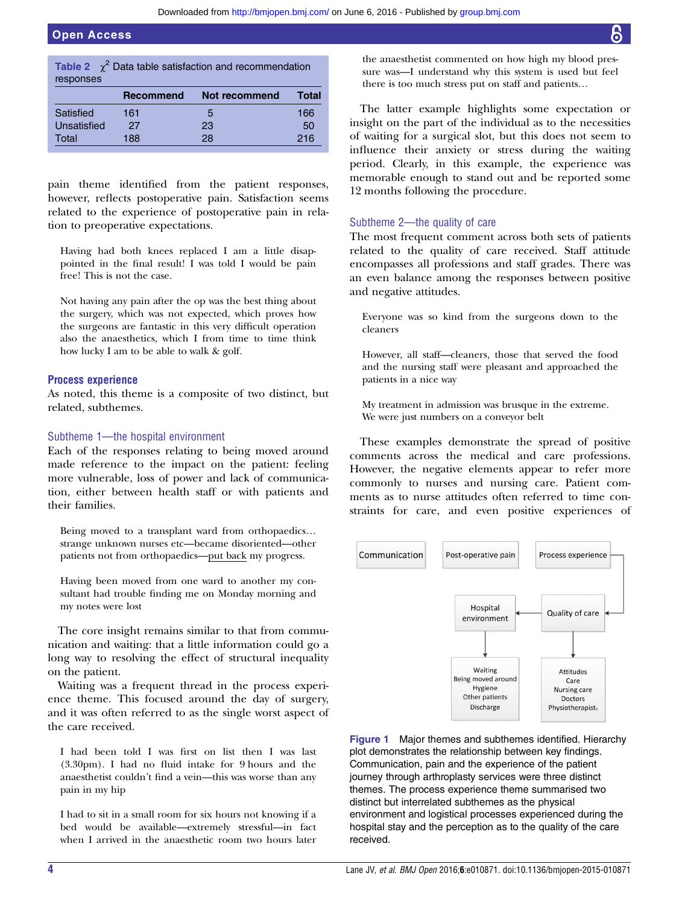<span id="page-3-0"></span>

| Total |
|-------|
| 166   |
| 50    |
| 216   |
|       |

pain theme identified from the patient responses, however, reflects postoperative pain. Satisfaction seems related to the experience of postoperative pain in relation to preoperative expectations.

Having had both knees replaced I am a little disappointed in the final result! I was told I would be pain free! This is not the case.

Not having any pain after the op was the best thing about the surgery, which was not expected, which proves how the surgeons are fantastic in this very difficult operation also the anaesthetics, which I from time to time think how lucky I am to be able to walk & golf.

#### Process experience

As noted, this theme is a composite of two distinct, but related, subthemes.

#### Subtheme 1—the hospital environment

Each of the responses relating to being moved around made reference to the impact on the patient: feeling more vulnerable, loss of power and lack of communication, either between health staff or with patients and their families.

Being moved to a transplant ward from orthopaedics… strange unknown nurses etc—became disoriented—other patients not from orthopaedics—put back my progress.

Having been moved from one ward to another my consultant had trouble finding me on Monday morning and my notes were lost

The core insight remains similar to that from communication and waiting: that a little information could go a long way to resolving the effect of structural inequality on the patient.

Waiting was a frequent thread in the process experience theme. This focused around the day of surgery, and it was often referred to as the single worst aspect of the care received.

I had been told I was first on list then I was last (3.30pm). I had no fluid intake for 9 hours and the anaesthetist couldn't find a vein—this was worse than any pain in my hip

I had to sit in a small room for six hours not knowing if a bed would be available—extremely stressful—in fact when I arrived in the anaesthetic room two hours later the anaesthetist commented on how high my blood pressure was—I understand why this system is used but feel there is too much stress put on staff and patients…

The latter example highlights some expectation or insight on the part of the individual as to the necessities of waiting for a surgical slot, but this does not seem to influence their anxiety or stress during the waiting period. Clearly, in this example, the experience was memorable enough to stand out and be reported some 12 months following the procedure.

#### Subtheme 2—the quality of care

The most frequent comment across both sets of patients related to the quality of care received. Staff attitude encompasses all professions and staff grades. There was an even balance among the responses between positive and negative attitudes.

Everyone was so kind from the surgeons down to the cleaners

However, all staff—cleaners, those that served the food and the nursing staff were pleasant and approached the patients in a nice way

My treatment in admission was brusque in the extreme. We were just numbers on a conveyor belt

These examples demonstrate the spread of positive comments across the medical and care professions. However, the negative elements appear to refer more commonly to nurses and nursing care. Patient comments as to nurse attitudes often referred to time constraints for care, and even positive experiences of



Figure 1 Major themes and subthemes identified. Hierarchy plot demonstrates the relationship between key findings. Communication, pain and the experience of the patient journey through arthroplasty services were three distinct themes. The process experience theme summarised two distinct but interrelated subthemes as the physical environment and logistical processes experienced during the hospital stay and the perception as to the quality of the care received.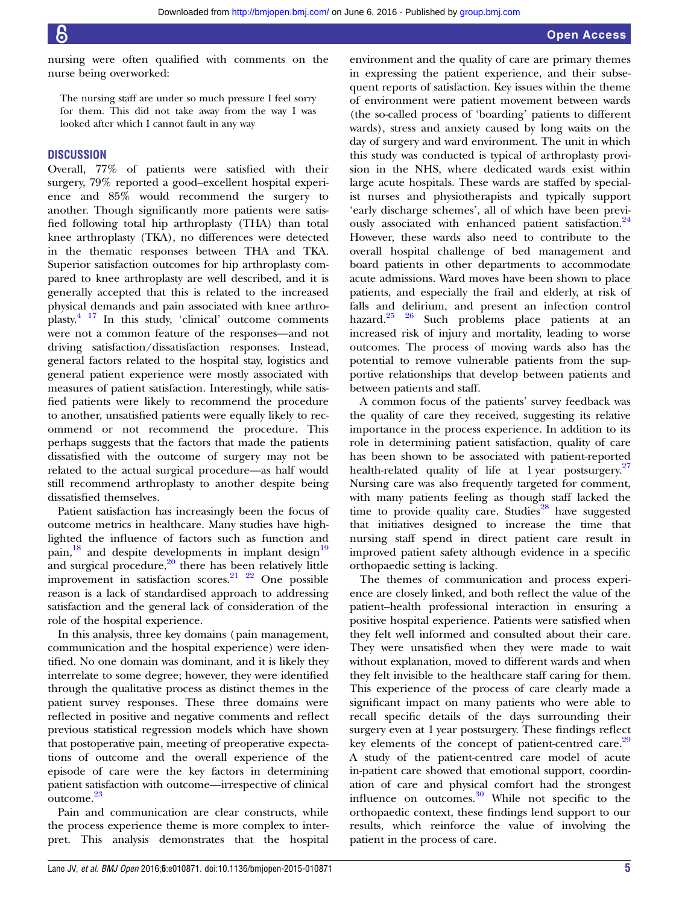nursing were often qualified with comments on the nurse being overworked:

The nursing staff are under so much pressure I feel sorry for them. This did not take away from the way I was looked after which I cannot fault in any way

### **DISCUSSION**

Overall, 77% of patients were satisfied with their surgery, 79% reported a good–excellent hospital experience and 85% would recommend the surgery to another. Though significantly more patients were satisfied following total hip arthroplasty (THA) than total knee arthroplasty (TKA), no differences were detected in the thematic responses between THA and TKA. Superior satisfaction outcomes for hip arthroplasty compared to knee arthroplasty are well described, and it is generally accepted that this is related to the increased physical demands and pain associated with knee arthroplasty[.4](#page-5-0) [17](#page-6-0) In this study, 'clinical' outcome comments were not a common feature of the responses—and not driving satisfaction/dissatisfaction responses. Instead, general factors related to the hospital stay, logistics and general patient experience were mostly associated with measures of patient satisfaction. Interestingly, while satisfied patients were likely to recommend the procedure to another, unsatisfied patients were equally likely to recommend or not recommend the procedure. This perhaps suggests that the factors that made the patients dissatisfied with the outcome of surgery may not be related to the actual surgical procedure—as half would still recommend arthroplasty to another despite being dissatisfied themselves.

Patient satisfaction has increasingly been the focus of outcome metrics in healthcare. Many studies have highlighted the influence of factors such as function and pain, $\frac{18}{19}$  $\frac{18}{19}$  $\frac{18}{19}$  $\frac{18}{19}$  $\frac{18}{19}$  and despite developments in implant design $\frac{19}{19}$ and surgical procedure, $20$  there has been relatively little improvement in satisfaction scores.<sup>21</sup> <sup>22</sup> One possible reason is a lack of standardised approach to addressing satisfaction and the general lack of consideration of the role of the hospital experience.

In this analysis, three key domains (pain management, communication and the hospital experience) were identified. No one domain was dominant, and it is likely they interrelate to some degree; however, they were identified through the qualitative process as distinct themes in the patient survey responses. These three domains were reflected in positive and negative comments and reflect previous statistical regression models which have shown that postoperative pain, meeting of preoperative expectations of outcome and the overall experience of the episode of care were the key factors in determining patient satisfaction with outcome—irrespective of clinical outcome.<sup>[23](#page-6-0)</sup>

Pain and communication are clear constructs, while the process experience theme is more complex to interpret. This analysis demonstrates that the hospital

environment and the quality of care are primary themes in expressing the patient experience, and their subsequent reports of satisfaction. Key issues within the theme of environment were patient movement between wards (the so-called process of 'boarding' patients to different wards), stress and anxiety caused by long waits on the day of surgery and ward environment. The unit in which this study was conducted is typical of arthroplasty provision in the NHS, where dedicated wards exist within large acute hospitals. These wards are staffed by specialist nurses and physiotherapists and typically support 'early discharge schemes', all of which have been previ-ously associated with enhanced patient satisfaction.<sup>[24](#page-6-0)</sup> However, these wards also need to contribute to the overall hospital challenge of bed management and board patients in other departments to accommodate acute admissions. Ward moves have been shown to place patients, and especially the frail and elderly, at risk of falls and delirium, and present an infection control hazard.[25 26](#page-6-0) Such problems place patients at an increased risk of injury and mortality, leading to worse outcomes. The process of moving wards also has the potential to remove vulnerable patients from the supportive relationships that develop between patients and between patients and staff.

A common focus of the patients' survey feedback was the quality of care they received, suggesting its relative importance in the process experience. In addition to its role in determining patient satisfaction, quality of care has been shown to be associated with patient-reported health-related quality of life at 1 year postsurgery. $27$ Nursing care was also frequently targeted for comment, with many patients feeling as though staff lacked the time to provide quality care. Studies<sup>[28](#page-6-0)</sup> have suggested that initiatives designed to increase the time that nursing staff spend in direct patient care result in improved patient safety although evidence in a specific orthopaedic setting is lacking.

The themes of communication and process experience are closely linked, and both reflect the value of the patient–health professional interaction in ensuring a positive hospital experience. Patients were satisfied when they felt well informed and consulted about their care. They were unsatisfied when they were made to wait without explanation, moved to different wards and when they felt invisible to the healthcare staff caring for them. This experience of the process of care clearly made a significant impact on many patients who were able to recall specific details of the days surrounding their surgery even at 1 year postsurgery. These findings reflect key elements of the concept of patient-centred care.<sup>[29](#page-6-0)</sup> A study of the patient-centred care model of acute in-patient care showed that emotional support, coordination of care and physical comfort had the strongest influence on outcomes.<sup>[30](#page-6-0)</sup> While not specific to the orthopaedic context, these findings lend support to our results, which reinforce the value of involving the patient in the process of care.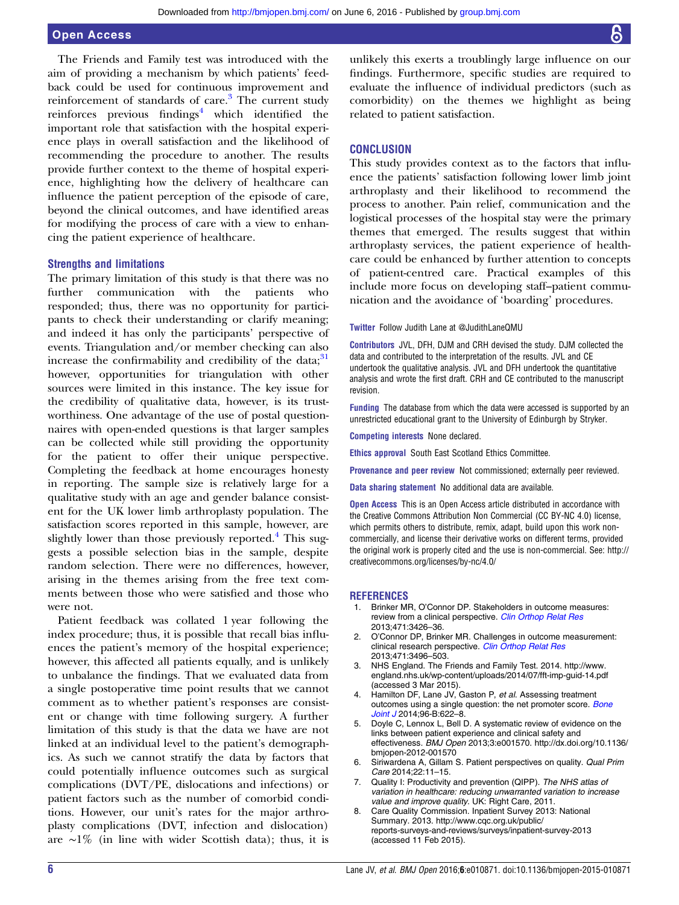## <span id="page-5-0"></span>Open Access

The Friends and Family test was introduced with the aim of providing a mechanism by which patients' feedback could be used for continuous improvement and reinforcement of standards of care.<sup>3</sup> The current study reinforces previous findings<sup>4</sup> which identified the important role that satisfaction with the hospital experience plays in overall satisfaction and the likelihood of recommending the procedure to another. The results provide further context to the theme of hospital experience, highlighting how the delivery of healthcare can influence the patient perception of the episode of care, beyond the clinical outcomes, and have identified areas for modifying the process of care with a view to enhancing the patient experience of healthcare.

#### Strengths and limitations

The primary limitation of this study is that there was no further communication with the patients who responded; thus, there was no opportunity for participants to check their understanding or clarify meaning; and indeed it has only the participants' perspective of events. Triangulation and/or member checking can also increase the confirmability and credibility of the data; $31$ however, opportunities for triangulation with other sources were limited in this instance. The key issue for the credibility of qualitative data, however, is its trustworthiness. One advantage of the use of postal questionnaires with open-ended questions is that larger samples can be collected while still providing the opportunity for the patient to offer their unique perspective. Completing the feedback at home encourages honesty in reporting. The sample size is relatively large for a qualitative study with an age and gender balance consistent for the UK lower limb arthroplasty population. The satisfaction scores reported in this sample, however, are slightly lower than those previously reported.<sup>4</sup> This suggests a possible selection bias in the sample, despite random selection. There were no differences, however, arising in the themes arising from the free text comments between those who were satisfied and those who were not.

Patient feedback was collated 1 year following the index procedure; thus, it is possible that recall bias influences the patient's memory of the hospital experience; however, this affected all patients equally, and is unlikely to unbalance the findings. That we evaluated data from a single postoperative time point results that we cannot comment as to whether patient's responses are consistent or change with time following surgery. A further limitation of this study is that the data we have are not linked at an individual level to the patient's demographics. As such we cannot stratify the data by factors that could potentially influence outcomes such as surgical complications (DVT/PE, dislocations and infections) or patient factors such as the number of comorbid conditions. However, our unit's rates for the major arthroplasty complications (DVT, infection and dislocation) are ∼1% (in line with wider Scottish data); thus, it is

unlikely this exerts a troublingly large influence on our findings. Furthermore, specific studies are required to evaluate the influence of individual predictors (such as comorbidity) on the themes we highlight as being related to patient satisfaction.

#### **CONCLUSION**

This study provides context as to the factors that influence the patients' satisfaction following lower limb joint arthroplasty and their likelihood to recommend the process to another. Pain relief, communication and the logistical processes of the hospital stay were the primary themes that emerged. The results suggest that within arthroplasty services, the patient experience of healthcare could be enhanced by further attention to concepts of patient-centred care. Practical examples of this include more focus on developing staff–patient communication and the avoidance of 'boarding' procedures.

Twitter Follow Judith Lane at [@JudithLaneQMU](http://twitter.com/JudithLaneQMU)

Contributors JVL, DFH, DJM and CRH devised the study. DJM collected the data and contributed to the interpretation of the results. JVL and CE undertook the qualitative analysis. JVL and DFH undertook the quantitative analysis and wrote the first draft. CRH and CE contributed to the manuscript revision.

Funding The database from which the data were accessed is supported by an unrestricted educational grant to the University of Edinburgh by Stryker.

Competing interests None declared.

Ethics approval South East Scotland Ethics Committee.

Provenance and peer review Not commissioned; externally peer reviewed.

Data sharing statement No additional data are available.

**Open Access** This is an Open Access article distributed in accordance with the Creative Commons Attribution Non Commercial (CC BY-NC 4.0) license, which permits others to distribute, remix, adapt, build upon this work noncommercially, and license their derivative works on different terms, provided the original work is properly cited and the use is non-commercial. See: [http://](http://creativecommons.org/licenses/by-nc/4.0/) [creativecommons.org/licenses/by-nc/4.0/](http://creativecommons.org/licenses/by-nc/4.0/)

#### **REFERENCES**

- 1. Brinker MR, O'Connor DP. Stakeholders in outcome measures: review from a clinical perspective. [Clin Orthop Relat Res](http://dx.doi.org/10.1007/s11999-013-3265-3) 2013;471:3426–36.
- 2. O'Connor DP, Brinker MR. Challenges in outcome measurement: clinical research perspective. [Clin Orthop Relat Res](http://dx.doi.org/10.1007/s11999-013-3194-1) 2013;471:3496–503.
- 3. NHS England. The Friends and Family Test. 2014. [http://www.](http://www.england.nhs.uk/wp-content/uploads/2014/07/fft-imp-guid-14.pdf) [england.nhs.uk/wp-content/uploads/2014/07/fft-imp-guid-14.pdf](http://www.england.nhs.uk/wp-content/uploads/2014/07/fft-imp-guid-14.pdf) (accessed 3 Mar 2015).
- 4. Hamilton DF, Lane JV, Gaston P, et al. Assessing treatment outcomes using a single question: the net promoter score. [Bone](http://dx.doi.org/10.1302/0301-620X.96B5.32434) [Joint J](http://dx.doi.org/10.1302/0301-620X.96B5.32434) 2014;96-B:622-8.
- 5. Doyle C, Lennox L, Bell D. A systematic review of evidence on the links between patient experience and clinical safety and effectiveness. BMJ Open 2013;3:e001570. http://dx.doi.org/10.1136/ bmjopen-2012-001570
- 6. Siriwardena A, Gillam S. Patient perspectives on quality. Qual Prim Care 2014;22:11–15.
- 7. Quality I: Productivity and prevention (QIPP). The NHS atlas of variation in healthcare: reducing unwarranted variation to increase value and improve quality. UK: Right Care, 2011.
- Care Quality Commission. Inpatient Survey 2013: National Summary. 2013. [http://www.cqc.org.uk/public/](http://www.cqc.org.uk/public/reports-surveys-and-reviews/surveys/inpatient-survey-2013) [reports-surveys-and-reviews/surveys/inpatient-survey-2013](http://www.cqc.org.uk/public/reports-surveys-and-reviews/surveys/inpatient-survey-2013) (accessed 11 Feb 2015).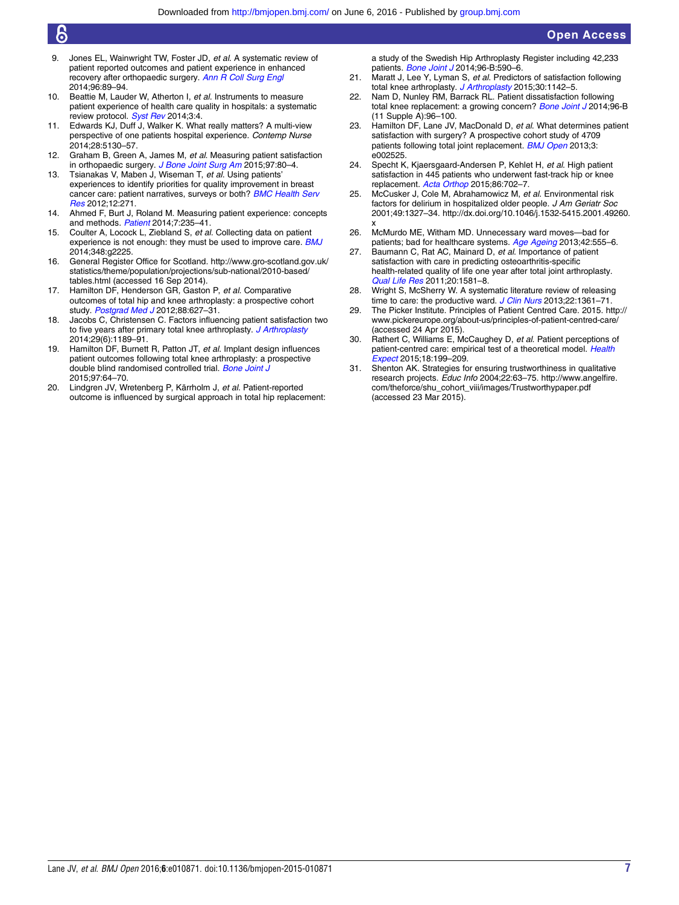- <span id="page-6-0"></span>
- 9. Jones EL, Wainwright TW, Foster JD, et al. A systematic review of patient reported outcomes and patient experience in enhanced recovery after orthopaedic surgery. [Ann R Coll Surg Engl](http://dx.doi.org/10.1308/003588414X13824511649571) 2014;96:89–94.
- 10. Beattie M, Lauder W, Atherton I, et al. Instruments to measure patient experience of health care quality in hospitals: a systematic review protocol. [Syst Rev](http://dx.doi.org/10.1186/2046-4053-3-4) 2014;3:4.
- Edwards KJ, Duff J, Walker K. What really matters? A multi-view perspective of one patients hospital experience. Contemp Nurse 2014;28:5130–57.
- 12. Graham B, Green A, James M, et al. Measuring patient satisfaction in orthopaedic surgery. [J Bone Joint Surg Am](http://dx.doi.org/10.2106/JBJS.N.00811) 2015;97:80-4.
- 13. Tsianakas V, Maben J, Wiseman T, et al. Using patients experiences to identify priorities for quality improvement in breast cancer care: patient narratives, surveys or both? [BMC Health Serv](http://dx.doi.org/10.1186/1472-6963-12-271) [Res](http://dx.doi.org/10.1186/1472-6963-12-271) 2012;12:271.
- 14. Ahmed F, Burt J, Roland M. Measuring patient experience: concepts and methods. [Patient](http://dx.doi.org/10.1007/s40271-014-0060-5) 2014;7:235-41.
- 15. Coulter A, Locock L, Ziebland S, et al. Collecting data on patient experience is not enough: they must be used to improve care. **[BMJ](http://dx.doi.org/10.1136/bmj.g2225)** 2014;348:g2225.
- 16. General Register Office for Scotland. [http://www.gro-scotland.gov.uk/](http://www.gro-scotland.gov.uk/statistics/theme/population/projections/sub-national/2010-based/tables.html) [statistics/theme/population/projections/sub-national/2010-based/](http://www.gro-scotland.gov.uk/statistics/theme/population/projections/sub-national/2010-based/tables.html) [tables.html](http://www.gro-scotland.gov.uk/statistics/theme/population/projections/sub-national/2010-based/tables.html) (accessed 16 Sep 2014).
- 17. Hamilton DF, Henderson GR, Gaston P, et al. Comparative outcomes of total hip and knee arthroplasty: a prospective cohort study. [Postgrad Med J](http://dx.doi.org/10.1136/postgradmedj-2011-130715) 2012;88:627–31.
- 18. Jacobs C, Christensen C. Factors influencing patient satisfaction two to five years after primary total knee arthroplasty. [J Arthroplasty](http://dx.doi.org/10.1016/j.arth.2014.01.008) 2014;29(6):1189–91.
- 19. Hamilton DF, Burnett R, Patton JT, et al. Implant design influences patient outcomes following total knee arthroplasty: a prospective double blind randomised controlled trial. [Bone Joint J](http://dx.doi.org/10.1302/0301-620X.97B1.34254) 2015;97:64–70.
- 20. Lindgren JV, Wretenberg P, Kärrholm J, et al. Patient-reported outcome is influenced by surgical approach in total hip replacement:

a study of the Swedish Hip Arthroplasty Register including 42,233 patients. [Bone Joint J](http://dx.doi.org/10.1302/0301-620X.96B5.32341) 2014;96-B:590-6.

- 21. Maratt J, Lee Y, Lyman S, et al. Predictors of satisfaction following total knee arthroplasty. [J Arthroplasty](http://dx.doi.org/10.1016/j.arth.2015.01.039) 2015;30:1142-5.
- 22. Nam D, Nunley RM, Barrack RL. Patient dissatisfaction following total knee replacement: a growing concern? [Bone Joint J](http://dx.doi.org/10.1302/0301-620X.96B11.34152) 2014;96-B (11 Supple A):96–100.
- 23. Hamilton DF, Lane JV, MacDonald D, et al. What determines patient satisfaction with surgery? A prospective cohort study of 4709 patients following total joint replacement. [BMJ Open](http://dx.doi.org/10.1136/bmjopen-2012-002525) 2013;3: e002525.
- 24. Specht K, Kjaersgaard-Andersen P, Kehlet H, et al. High patient satisfaction in 445 patients who underwent fast-track hip or knee replacement. [Acta Orthop](http://dx.doi.org/10.3109/17453674.2015.1063910) 2015;86:702–7.
- 25. McCusker J. Cole M. Abrahamowicz M, et al. Environmental risk factors for delirium in hospitalized older people. J Am Geriatr Soc 2001;49:1327–34. [http://dx.doi.org/10.1046/j.1532-5415.2001.49260.](http://dx.doi.org/10.1046/j.1532-5415.2001.49260.x) [x](http://dx.doi.org/10.1046/j.1532-5415.2001.49260.x)
- 26. McMurdo ME, Witham MD. Unnecessary ward moves—bad for patients; bad for healthcare systems. [Age Ageing](http://dx.doi.org/10.1093/ageing/aft079) 2013;42:555-6.
- 27. Baumann C, Rat AC, Mainard D, et al. Importance of patient satisfaction with care in predicting osteoarthritis-specific health-related quality of life one year after total joint arthroplasty. [Qual Life Res](http://dx.doi.org/10.1007/s11136-011-9913-8) 2011;20:1581–8.
- 28. Wright S, McSherry W. A systematic literature review of releasing time to care: the productive ward. [J Clin Nurs](http://dx.doi.org/10.1111/jocn.12074) 2013;22:1361-71
- 29. The Picker Institute. Principles of Patient Centred Care. 2015. [http://](http://www.pickereurope.org/about-us/principles-of-patient-centred-care/) [www.pickereurope.org/about-us/principles-of-patient-centred-care/](http://www.pickereurope.org/about-us/principles-of-patient-centred-care/) (accessed 24 Apr 2015).
- 30. Rathert C, Williams E, McCaughey D, et al. Patient perceptions of patient-centred care: empirical test of a theoretical model. [Health](http://dx.doi.org/10.1111/hex.12020) [Expect](http://dx.doi.org/10.1111/hex.12020) 2015;18:199–209.
- 31. Shenton AK. Strategies for ensuring trustworthiness in qualitative research projects. Educ Info 2004;22:63–75. [http://www.angelfire.](http://www.angelfire.com/theforce/shu_cohort_viii/images/Trustworthypaper.pdf) [com/theforce/shu\\_cohort\\_viii/images/Trustworthypaper.pdf](http://www.angelfire.com/theforce/shu_cohort_viii/images/Trustworthypaper.pdf) (accessed 23 Mar 2015).